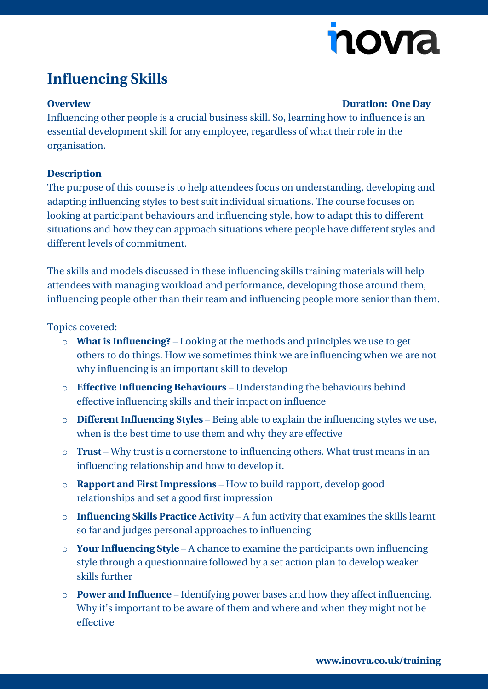# nova

## **Influencing Skills**

#### **Overview Duration: One Day**

Influencing other people is a crucial business skill. So, learning how to influence is an essential development skill for any employee, regardless of what their role in the organisation.

#### **Description**

The purpose of this course is to help attendees focus on understanding, developing and adapting influencing styles to best suit individual situations. The course focuses on looking at participant behaviours and influencing style, how to adapt this to different situations and how they can approach situations where people have different styles and different levels of commitment.

The skills and models discussed in these influencing skills training materials will help attendees with managing workload and performance, developing those around them, influencing people other than their team and influencing people more senior than them.

### Topics covered:

- o **What is Influencing?** Looking at the methods and principles we use to get others to do things. How we sometimes think we are influencing when we are not why influencing is an important skill to develop
- o **Effective Influencing Behaviours** Understanding the behaviours behind effective influencing skills and their impact on influence
- o **Different Influencing Styles** Being able to explain the influencing styles we use, when is the best time to use them and why they are effective
- o **Trust** Why trust is a cornerstone to influencing others. What trust means in an influencing relationship and how to develop it.
- o **Rapport and First Impressions** How to build rapport, develop good relationships and set a good first impression
- o **Influencing Skills Practice Activity** A fun activity that examines the skills learnt so far and judges personal approaches to influencing
- o **Your Influencing Style** A chance to examine the participants own influencing style through a questionnaire followed by a set action plan to develop weaker skills further
- o **Power and Influence** Identifying power bases and how they affect influencing. Why it's important to be aware of them and where and when they might not be effective